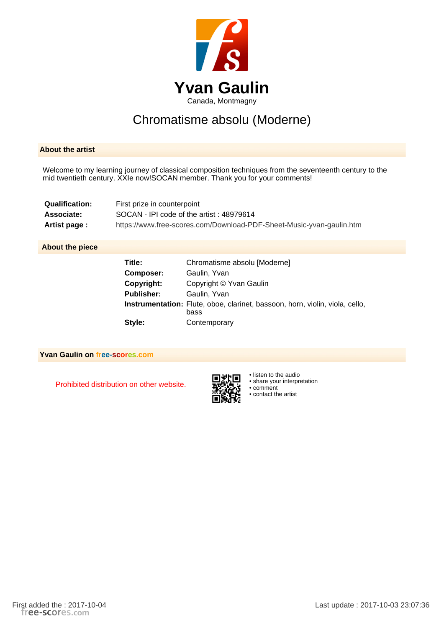

## Chromatisme absolu (Moderne)

## **About the artist**

Welcome to my learning journey of classical composition techniques from the seventeenth century to the mid twentieth century. XXIe now!SOCAN member. Thank you for your comments!

| Qualification: | First prize in counterpoint                                          |
|----------------|----------------------------------------------------------------------|
| Associate:     | SOCAN - IPI code of the artist: 48979614                             |
| Artist page :  | https://www.free-scores.com/Download-PDF-Sheet-Music-yvan-gaulin.htm |

## **About the piece**

| Title:            | Chromatisme absolu [Moderne]                                                                |
|-------------------|---------------------------------------------------------------------------------------------|
| Composer:         | Gaulin, Yvan                                                                                |
| Copyright:        | Copyright © Yvan Gaulin                                                                     |
| <b>Publisher:</b> | Gaulin, Yvan                                                                                |
|                   | <b>Instrumentation:</b> Flute, oboe, clarinet, bassoon, horn, violin, viola, cello,<br>bass |
| Style:            | Contemporary                                                                                |

**Yvan Gaulin on free-scores.com**

Prohibited distribution on other website.



• listen to the audio

• share your interpretation

• comment • contact the artist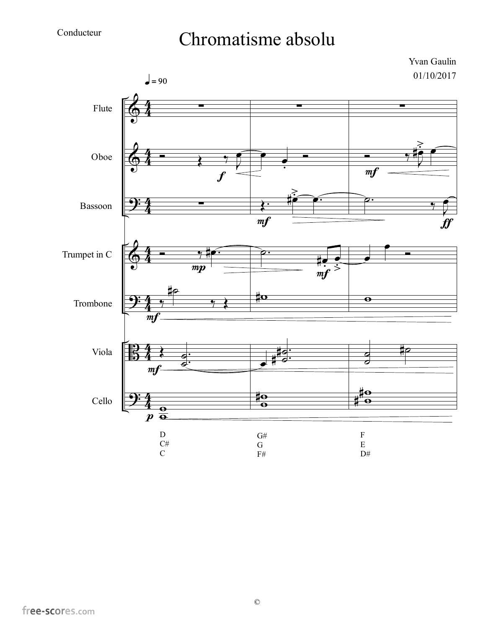## Chromatisme absolu

Yvan Gaulin 01/10/2017

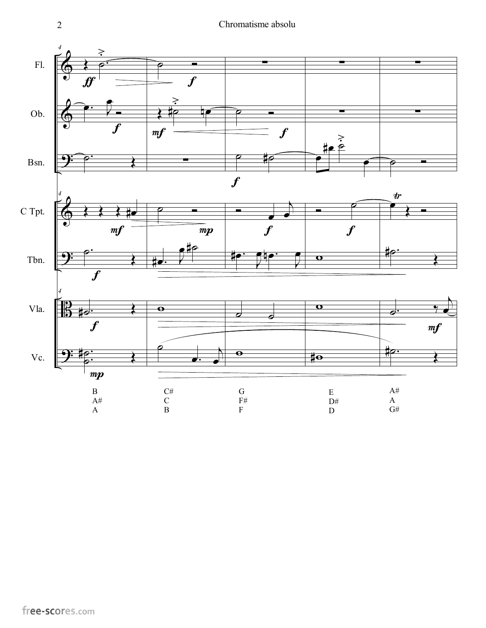2 Chromatisme absolu

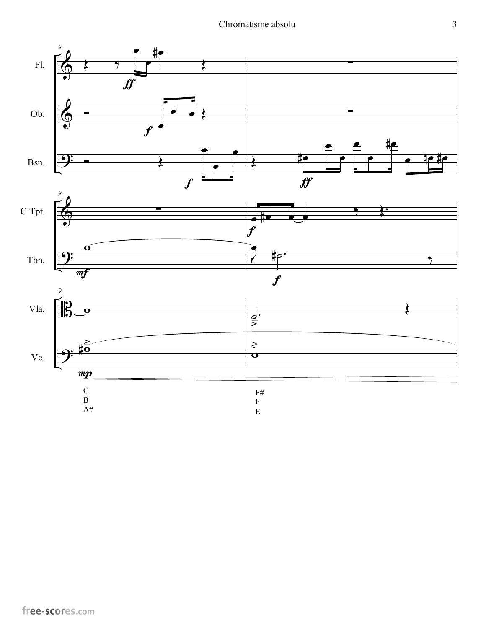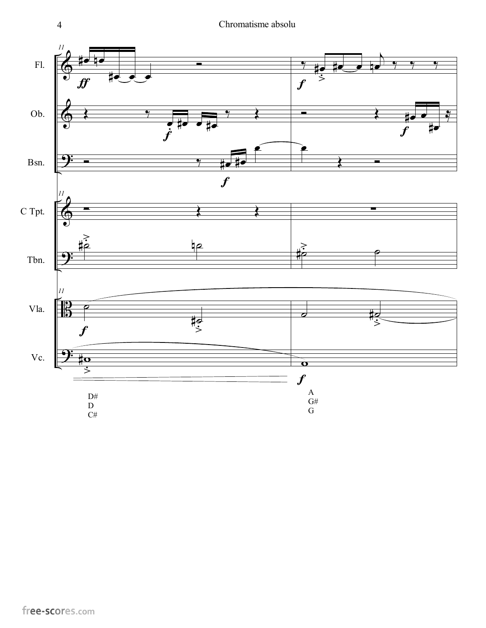4 Chromatisme absolu

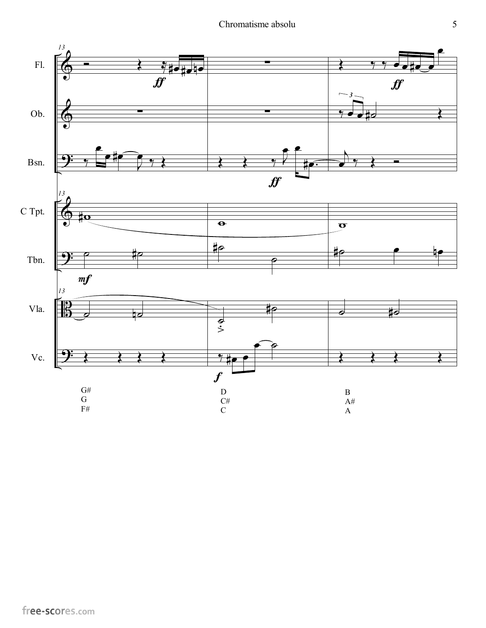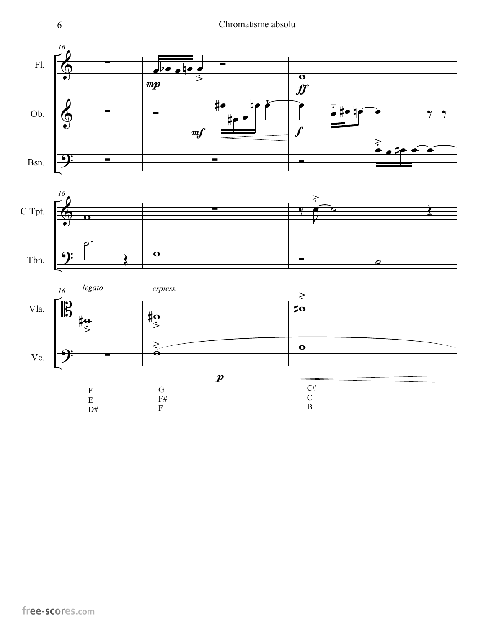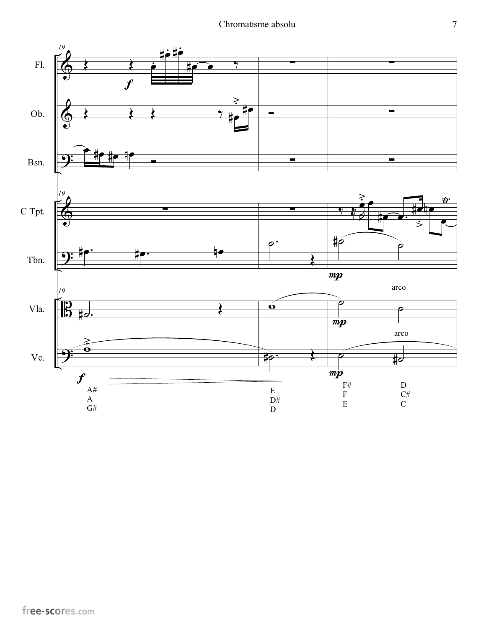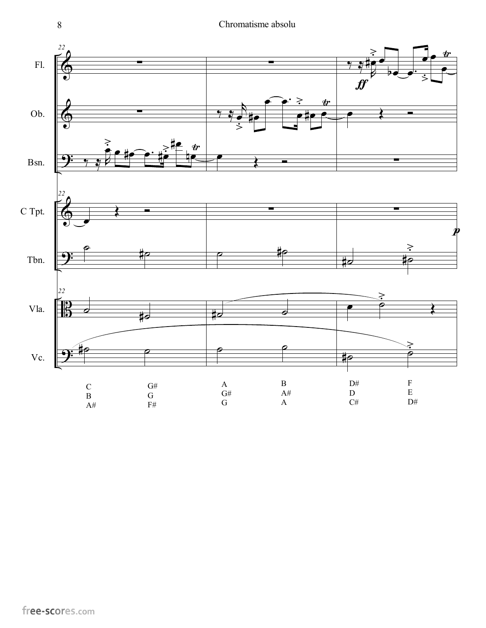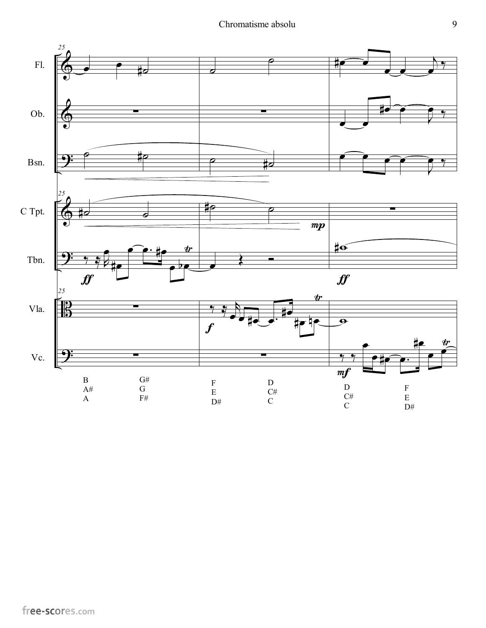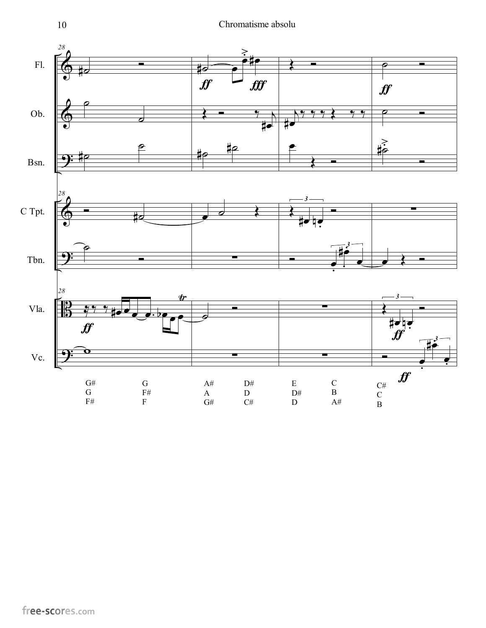

 $\frac{1}{2}$ 

˙

 $\frac{399}{7}$ 

ϖ

ƒ

G# G F#

∀œ œ

∀˙

"

œ œ− αœ

G F# F

 $\overline{\mathbf{e}^{\mathbf{e}}}$ 

 $\frac{dr}{dt}$ 

 $\overrightarrow{ }$ 

˙

A# A G# ∑

∀œ µœ **•** 

<u>.</u>

−<br>−

∑

∑

 $\mathbf C$ B A#

E D#  $\overline{D}$ 

∀œ −−<br>●

*3*

−

 $\frac{1}{\bullet}$ 

 $\bullet$   $\cdot$   $\cdot$ 

Œ

C#  $\mathsf{C}\phantom{0}$ B

∀œ µœ

 $\bm{f}$ 

*3*

**−** 

<u>.</u>

 $f\hspace{-0.1cm}f$ 

"

−<br>−

∀œ −<br>●

*3*

 $\frac{1}{\cdot}$ −<br>−

"

∑

D# D  $C#$ 

Tbn.

Vla.

Vc.

Α

*28*

 $\frac{1}{2}$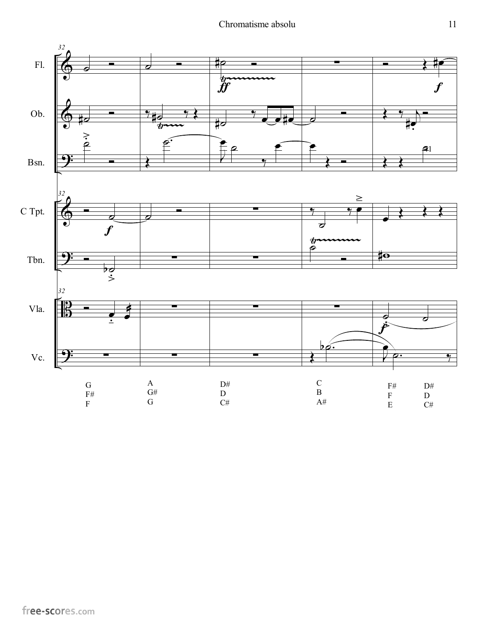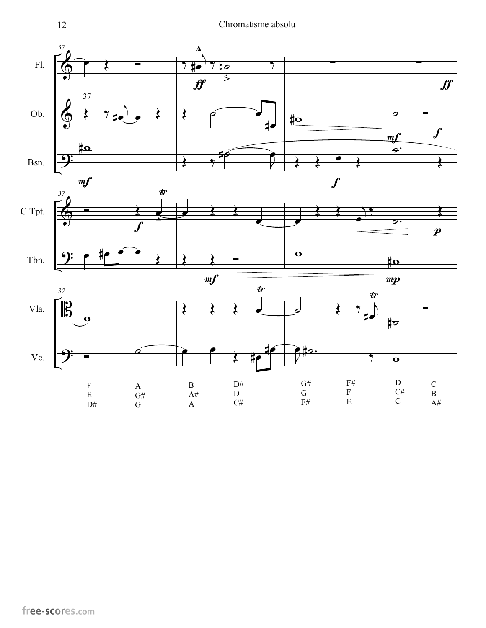

free-scores.com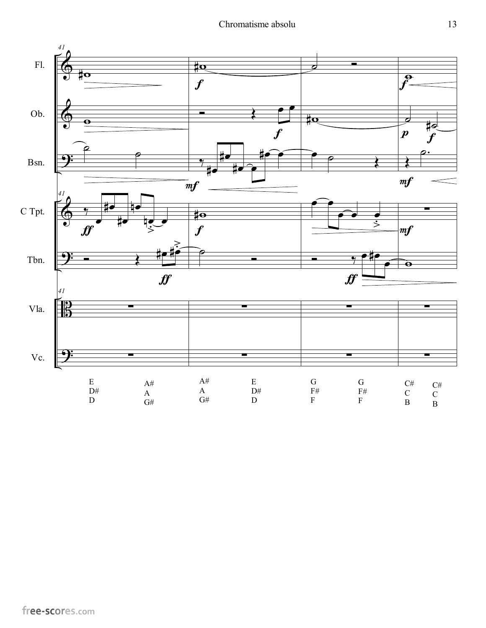